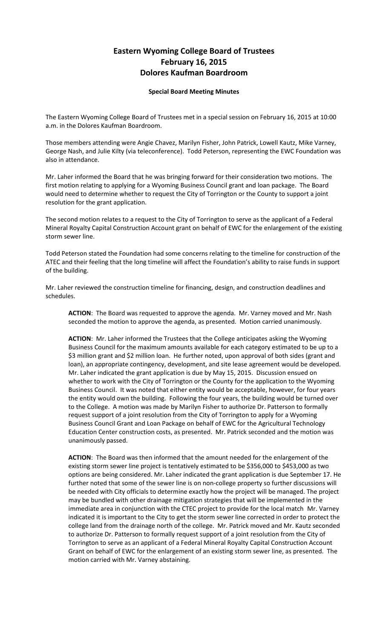## **Eastern Wyoming College Board of Trustees February 16, 2015 Dolores Kaufman Boardroom**

## **Special Board Meeting Minutes**

The Eastern Wyoming College Board of Trustees met in a special session on February 16, 2015 at 10:00 a.m. in the Dolores Kaufman Boardroom.

Those members attending were Angie Chavez, Marilyn Fisher, John Patrick, Lowell Kautz, Mike Varney, George Nash, and Julie Kilty (via teleconference). Todd Peterson, representing the EWC Foundation was also in attendance.

Mr. Laher informed the Board that he was bringing forward for their consideration two motions. The first motion relating to applying for a Wyoming Business Council grant and loan package. The Board would need to determine whether to request the City of Torrington or the County to support a joint resolution for the grant application.

The second motion relates to a request to the City of Torrington to serve as the applicant of a Federal Mineral Royalty Capital Construction Account grant on behalf of EWC for the enlargement of the existing storm sewer line.

Todd Peterson stated the Foundation had some concerns relating to the timeline for construction of the ATEC and their feeling that the long timeline will affect the Foundation's ability to raise funds in support of the building.

Mr. Laher reviewed the construction timeline for financing, design, and construction deadlines and schedules.

**ACTION**: The Board was requested to approve the agenda. Mr. Varney moved and Mr. Nash seconded the motion to approve the agenda, as presented. Motion carried unanimously.

**ACTION**: Mr. Laher informed the Trustees that the College anticipates asking the Wyoming Business Council for the maximum amounts available for each category estimated to be up to a \$3 million grant and \$2 million loan. He further noted, upon approval of both sides (grant and loan), an appropriate contingency, development, and site lease agreement would be developed. Mr. Laher indicated the grant application is due by May 15, 2015. Discussion ensued on whether to work with the City of Torrington or the County for the application to the Wyoming Business Council. It was noted that either entity would be acceptable, however, for four years the entity would own the building. Following the four years, the building would be turned over to the College. A motion was made by Marilyn Fisher to authorize Dr. Patterson to formally request support of a joint resolution from the City of Torrington to apply for a Wyoming Business Council Grant and Loan Package on behalf of EWC for the Agricultural Technology Education Center construction costs, as presented. Mr. Patrick seconded and the motion was unanimously passed.

**ACTION**: The Board was then informed that the amount needed for the enlargement of the existing storm sewer line project is tentatively estimated to be \$356,000 to \$453,000 as two options are being considered. Mr. Laher indicated the grant application is due September 17. He further noted that some of the sewer line is on non-college property so further discussions will be needed with City officials to determine exactly how the project will be managed. The project may be bundled with other drainage mitigation strategies that will be implemented in the immediate area in conjunction with the CTEC project to provide for the local match Mr. Varney indicated it is important to the City to get the storm sewer line corrected in order to protect the college land from the drainage north of the college. Mr. Patrick moved and Mr. Kautz seconded to authorize Dr. Patterson to formally request support of a joint resolution from the City of Torrington to serve as an applicant of a Federal Mineral Royalty Capital Construction Account Grant on behalf of EWC for the enlargement of an existing storm sewer line, as presented. The motion carried with Mr. Varney abstaining.